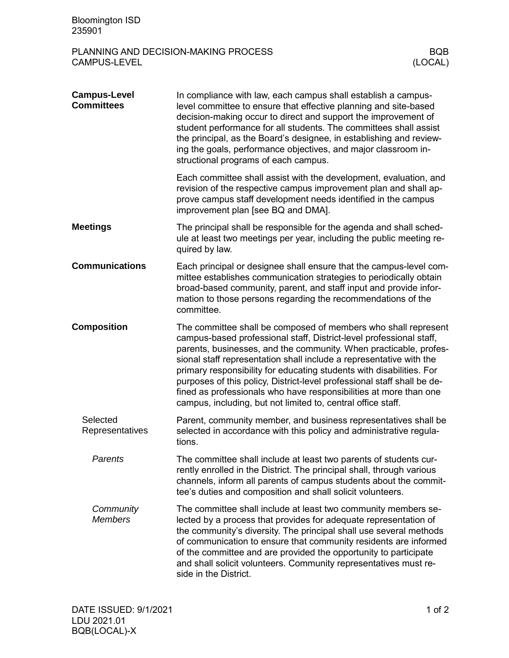| <b>Bloomington ISD</b><br>235901                                                     |                                                                                                                                                                                                                                                                                                                                                                                                                                                                                                                                                                           |  |  |
|--------------------------------------------------------------------------------------|---------------------------------------------------------------------------------------------------------------------------------------------------------------------------------------------------------------------------------------------------------------------------------------------------------------------------------------------------------------------------------------------------------------------------------------------------------------------------------------------------------------------------------------------------------------------------|--|--|
| PLANNING AND DECISION-MAKING PROCESS<br><b>BQB</b><br>(LOCAL)<br><b>CAMPUS-LEVEL</b> |                                                                                                                                                                                                                                                                                                                                                                                                                                                                                                                                                                           |  |  |
| <b>Campus-Level</b><br><b>Committees</b>                                             | In compliance with law, each campus shall establish a campus-<br>level committee to ensure that effective planning and site-based<br>decision-making occur to direct and support the improvement of<br>student performance for all students. The committees shall assist<br>the principal, as the Board's designee, in establishing and review-<br>ing the goals, performance objectives, and major classroom in-<br>structional programs of each campus.                                                                                                                 |  |  |
|                                                                                      | Each committee shall assist with the development, evaluation, and<br>revision of the respective campus improvement plan and shall ap-<br>prove campus staff development needs identified in the campus<br>improvement plan [see BQ and DMA].                                                                                                                                                                                                                                                                                                                              |  |  |
| <b>Meetings</b>                                                                      | The principal shall be responsible for the agenda and shall sched-<br>ule at least two meetings per year, including the public meeting re-<br>quired by law.                                                                                                                                                                                                                                                                                                                                                                                                              |  |  |
| <b>Communications</b>                                                                | Each principal or designee shall ensure that the campus-level com-<br>mittee establishes communication strategies to periodically obtain<br>broad-based community, parent, and staff input and provide infor-<br>mation to those persons regarding the recommendations of the<br>committee.                                                                                                                                                                                                                                                                               |  |  |
| <b>Composition</b>                                                                   | The committee shall be composed of members who shall represent<br>campus-based professional staff, District-level professional staff,<br>parents, businesses, and the community. When practicable, profes-<br>sional staff representation shall include a representative with the<br>primary responsibility for educating students with disabilities. For<br>purposes of this policy, District-level professional staff shall be de-<br>fined as professionals who have responsibilities at more than one<br>campus, including, but not limited to, central office staff. |  |  |
| Selected<br>Representatives                                                          | Parent, community member, and business representatives shall be<br>selected in accordance with this policy and administrative regula-<br>tions.                                                                                                                                                                                                                                                                                                                                                                                                                           |  |  |
| Parents                                                                              | The committee shall include at least two parents of students cur-<br>rently enrolled in the District. The principal shall, through various<br>channels, inform all parents of campus students about the commit-<br>tee's duties and composition and shall solicit volunteers.                                                                                                                                                                                                                                                                                             |  |  |
| Community<br><b>Members</b>                                                          | The committee shall include at least two community members se-<br>lected by a process that provides for adequate representation of<br>the community's diversity. The principal shall use several methods<br>of communication to ensure that community residents are informed<br>of the committee and are provided the opportunity to participate<br>and shall solicit volunteers. Community representatives must re-<br>side in the District.                                                                                                                             |  |  |